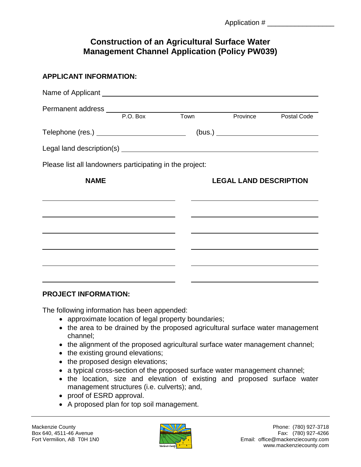## **Construction of an Agricultural Surface Water Management Channel Application (Policy PW039)**

| <b>APPLICANT INFORMATION:</b>                            |  |                               |  |  |
|----------------------------------------------------------|--|-------------------------------|--|--|
|                                                          |  |                               |  |  |
|                                                          |  | Town Province Postal Code     |  |  |
| Telephone (res.) ____________________________            |  |                               |  |  |
|                                                          |  |                               |  |  |
| Please list all landowners participating in the project: |  |                               |  |  |
| <b>NAME</b>                                              |  | <b>LEGAL LAND DESCRIPTION</b> |  |  |
|                                                          |  |                               |  |  |
|                                                          |  |                               |  |  |
|                                                          |  |                               |  |  |
|                                                          |  |                               |  |  |
|                                                          |  |                               |  |  |

## **PROJECT INFORMATION:**

The following information has been appended:

- approximate location of legal property boundaries;
- the area to be drained by the proposed agricultural surface water management channel;
- the alignment of the proposed agricultural surface water management channel;
- the existing ground elevations;
- the proposed design elevations;
- a typical cross-section of the proposed surface water management channel;
- the location, size and elevation of existing and proposed surface water management structures (i.e. culverts); and,
- proof of ESRD approval.
- A proposed plan for top soil management.